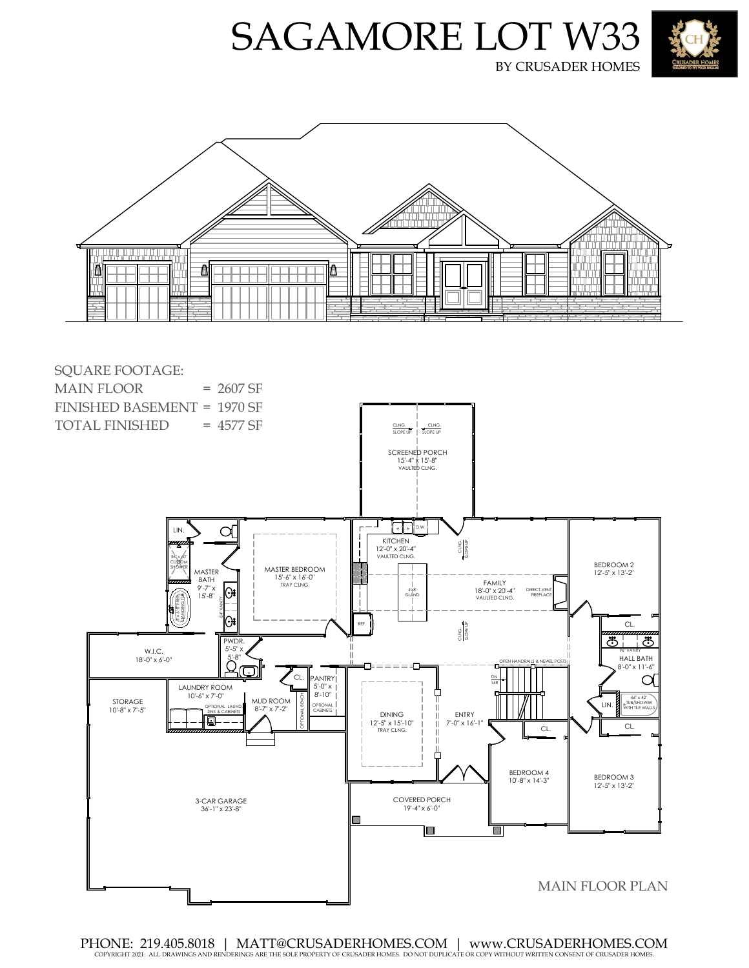







PHONE: 219.405.8018 | MATT@CRUSADERHOMES.COM | www.CRUSADERHOMES.COM COPYRIGHT 2021: ALL DRAWINGS AND RENDERINGS ARE THE SOLE PROPERTY OF CRUSADER HOMES. DO NOT DUPLICATE OR COPY WITHOUT WRITTEN CONSENT OF CRUSADER HOMES.